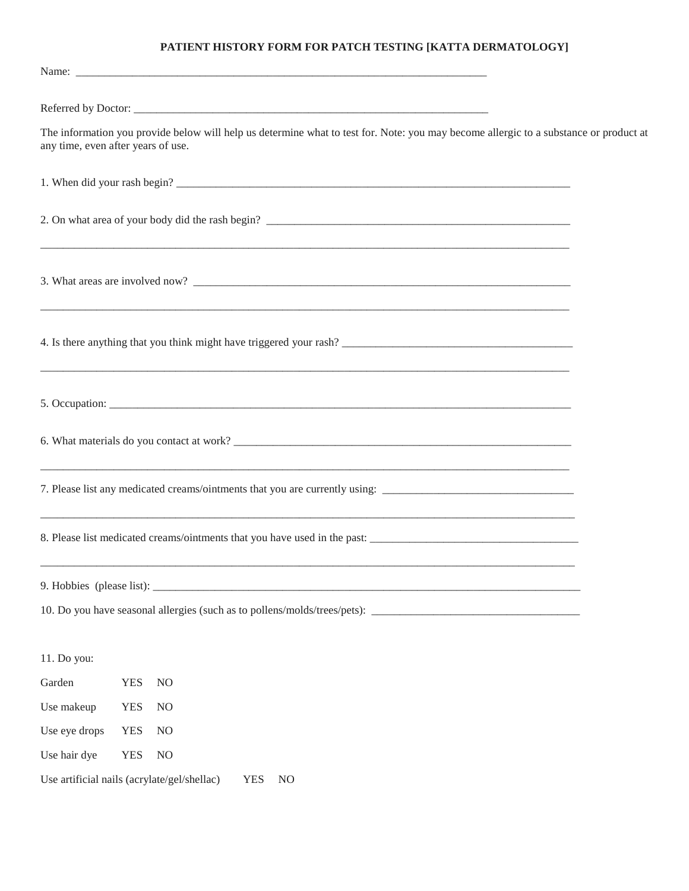## **PATIENT HISTORY FORM FOR PATCH TESTING [KATTA DERMATOLOGY]**

|               | The information you provide below will help us determine what to test for. Note: you may become allergic to a substance or product at<br>any time, even after years of use. |  |
|---------------|-----------------------------------------------------------------------------------------------------------------------------------------------------------------------------|--|
|               |                                                                                                                                                                             |  |
|               | <u> 1980 - John Stein, Amerikaans en beskriuw fan de Fryske kommunister fan de Brytske kommunister fan de Brytske</u>                                                       |  |
|               |                                                                                                                                                                             |  |
|               |                                                                                                                                                                             |  |
|               |                                                                                                                                                                             |  |
|               |                                                                                                                                                                             |  |
|               | 7. Please list any medicated creams/ointments that you are currently using:                                                                                                 |  |
|               |                                                                                                                                                                             |  |
|               |                                                                                                                                                                             |  |
|               |                                                                                                                                                                             |  |
| 11. Do you:   |                                                                                                                                                                             |  |
| Garden        | <b>YES</b><br>N <sub>O</sub>                                                                                                                                                |  |
| Use makeup    | <b>YES</b><br>N <sub>O</sub>                                                                                                                                                |  |
| Use eye drops | <b>YES</b><br>$NO$                                                                                                                                                          |  |
| Use hair dye  | <b>YES</b><br>N <sub>O</sub>                                                                                                                                                |  |
|               | Use artificial nails (acrylate/gel/shellac)<br><b>YES</b><br>N <sub>O</sub>                                                                                                 |  |